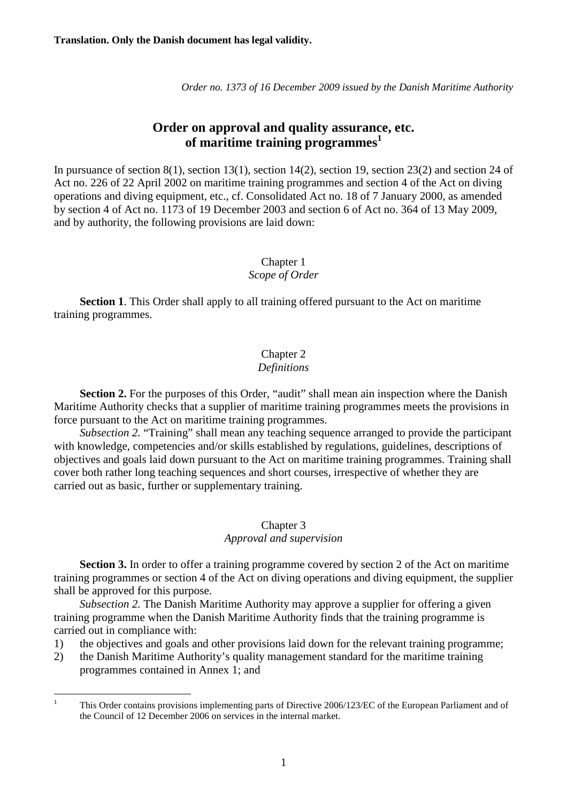*Order no. 1373 of 16 December 2009 issued by the Danish Maritime Authority* 

# **Order on approval and quality assurance, etc. of maritime training programmes<sup>1</sup>**

In pursuance of section 8(1), section 13(1), section 14(2), section 19, section 23(2) and section 24 of Act no. 226 of 22 April 2002 on maritime training programmes and section 4 of the Act on diving operations and diving equipment, etc., cf. Consolidated Act no. 18 of 7 January 2000, as amended by section 4 of Act no. 1173 of 19 December 2003 and section 6 of Act no. 364 of 13 May 2009, and by authority, the following provisions are laid down:

# Chapter 1 *Scope of Order*

**Section 1**. This Order shall apply to all training offered pursuant to the Act on maritime training programmes.

# Chapter 2

# *Definitions*

**Section 2.** For the purposes of this Order, "audit" shall mean ain inspection where the Danish Maritime Authority checks that a supplier of maritime training programmes meets the provisions in force pursuant to the Act on maritime training programmes.

*Subsection 2.* "Training" shall mean any teaching sequence arranged to provide the participant with knowledge, competencies and/or skills established by regulations, guidelines, descriptions of objectives and goals laid down pursuant to the Act on maritime training programmes. Training shall cover both rather long teaching sequences and short courses, irrespective of whether they are carried out as basic, further or supplementary training.

# Chapter 3

### *Approval and supervision*

**Section 3.** In order to offer a training programme covered by section 2 of the Act on maritime training programmes or section 4 of the Act on diving operations and diving equipment, the supplier shall be approved for this purpose.

*Subsection 2.* The Danish Maritime Authority may approve a supplier for offering a given training programme when the Danish Maritime Authority finds that the training programme is carried out in compliance with:

- 1) the objectives and goals and other provisions laid down for the relevant training programme;
- 2) the Danish Maritime Authority's quality management standard for the maritime training programmes contained in Annex 1; and

 $\frac{1}{1}$  This Order contains provisions implementing parts of Directive 2006/123/EC of the European Parliament and of the Council of 12 December 2006 on services in the internal market.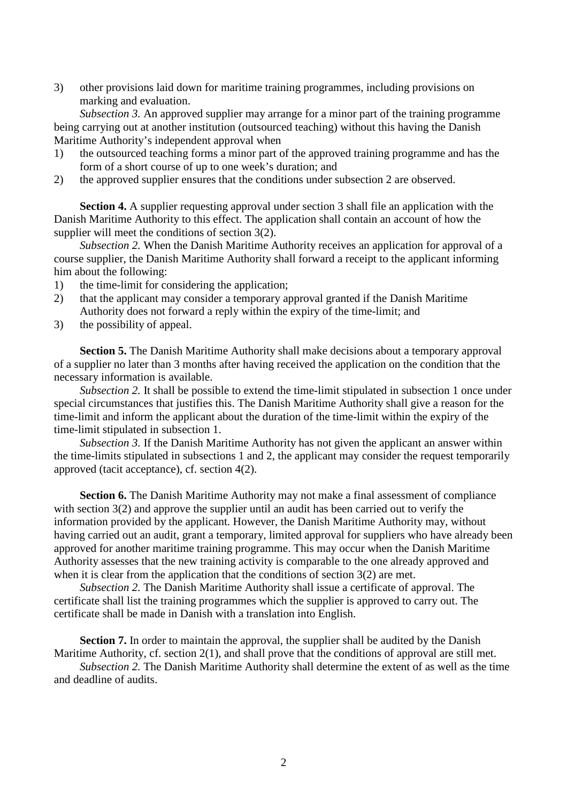3) other provisions laid down for maritime training programmes, including provisions on marking and evaluation.

 *Subsection 3.* An approved supplier may arrange for a minor part of the training programme being carrying out at another institution (outsourced teaching) without this having the Danish Maritime Authority's independent approval when

- 1) the outsourced teaching forms a minor part of the approved training programme and has the form of a short course of up to one week's duration; and
- 2) the approved supplier ensures that the conditions under subsection 2 are observed.

**Section 4.** A supplier requesting approval under section 3 shall file an application with the Danish Maritime Authority to this effect. The application shall contain an account of how the supplier will meet the conditions of section 3(2).

*Subsection 2.* When the Danish Maritime Authority receives an application for approval of a course supplier, the Danish Maritime Authority shall forward a receipt to the applicant informing him about the following:

- 1) the time-limit for considering the application;
- 2) that the applicant may consider a temporary approval granted if the Danish Maritime Authority does not forward a reply within the expiry of the time-limit; and
- 3) the possibility of appeal.

**Section 5.** The Danish Maritime Authority shall make decisions about a temporary approval of a supplier no later than 3 months after having received the application on the condition that the necessary information is available.

*Subsection 2.* It shall be possible to extend the time-limit stipulated in subsection 1 once under special circumstances that justifies this. The Danish Maritime Authority shall give a reason for the time-limit and inform the applicant about the duration of the time-limit within the expiry of the time-limit stipulated in subsection 1.

*Subsection 3.* If the Danish Maritime Authority has not given the applicant an answer within the time-limits stipulated in subsections 1 and 2, the applicant may consider the request temporarily approved (tacit acceptance), cf. section 4(2).

**Section 6.** The Danish Maritime Authority may not make a final assessment of compliance with section 3(2) and approve the supplier until an audit has been carried out to verify the information provided by the applicant. However, the Danish Maritime Authority may, without having carried out an audit, grant a temporary, limited approval for suppliers who have already been approved for another maritime training programme. This may occur when the Danish Maritime Authority assesses that the new training activity is comparable to the one already approved and when it is clear from the application that the conditions of section 3(2) are met.

*Subsection 2.* The Danish Maritime Authority shall issue a certificate of approval. The certificate shall list the training programmes which the supplier is approved to carry out. The certificate shall be made in Danish with a translation into English.

**Section 7.** In order to maintain the approval, the supplier shall be audited by the Danish Maritime Authority, cf. section 2(1), and shall prove that the conditions of approval are still met.

*Subsection 2.* The Danish Maritime Authority shall determine the extent of as well as the time and deadline of audits.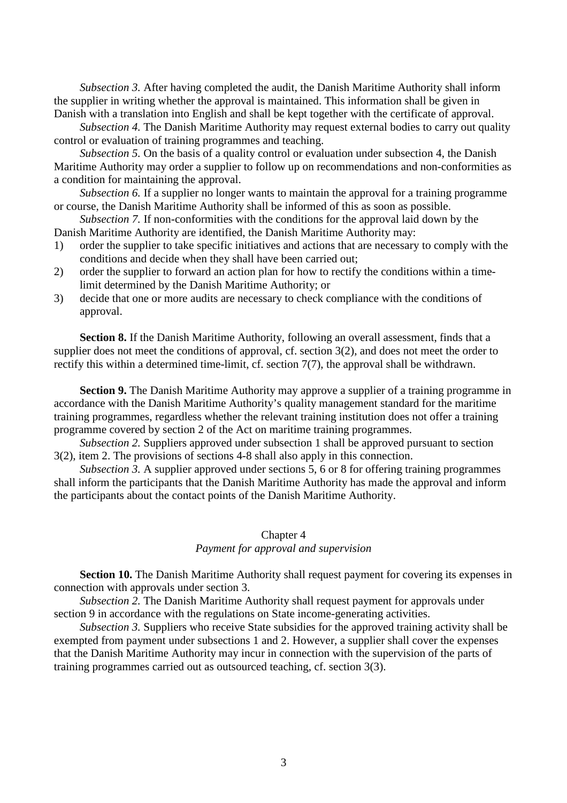*Subsection 3.* After having completed the audit, the Danish Maritime Authority shall inform the supplier in writing whether the approval is maintained. This information shall be given in Danish with a translation into English and shall be kept together with the certificate of approval.

*Subsection 4.* The Danish Maritime Authority may request external bodies to carry out quality control or evaluation of training programmes and teaching.

*Subsection 5.* On the basis of a quality control or evaluation under subsection 4, the Danish Maritime Authority may order a supplier to follow up on recommendations and non-conformities as a condition for maintaining the approval.

*Subsection 6.* If a supplier no longer wants to maintain the approval for a training programme or course, the Danish Maritime Authority shall be informed of this as soon as possible.

*Subsection 7.* If non-conformities with the conditions for the approval laid down by the Danish Maritime Authority are identified, the Danish Maritime Authority may:

- 1) order the supplier to take specific initiatives and actions that are necessary to comply with the conditions and decide when they shall have been carried out;
- 2) order the supplier to forward an action plan for how to rectify the conditions within a timelimit determined by the Danish Maritime Authority; or
- 3) decide that one or more audits are necessary to check compliance with the conditions of approval.

**Section 8.** If the Danish Maritime Authority, following an overall assessment, finds that a supplier does not meet the conditions of approval, cf. section 3(2), and does not meet the order to rectify this within a determined time-limit, cf. section 7(7), the approval shall be withdrawn.

**Section 9.** The Danish Maritime Authority may approve a supplier of a training programme in accordance with the Danish Maritime Authority's quality management standard for the maritime training programmes, regardless whether the relevant training institution does not offer a training programme covered by section 2 of the Act on maritime training programmes.

*Subsection 2.* Suppliers approved under subsection 1 shall be approved pursuant to section 3(2), item 2. The provisions of sections 4-8 shall also apply in this connection.

*Subsection 3.* A supplier approved under sections 5, 6 or 8 for offering training programmes shall inform the participants that the Danish Maritime Authority has made the approval and inform the participants about the contact points of the Danish Maritime Authority.

#### Chapter 4

#### *Payment for approval and supervision*

**Section 10.** The Danish Maritime Authority shall request payment for covering its expenses in connection with approvals under section 3.

*Subsection 2.* The Danish Maritime Authority shall request payment for approvals under section 9 in accordance with the regulations on State income-generating activities.

*Subsection 3.* Suppliers who receive State subsidies for the approved training activity shall be exempted from payment under subsections 1 and 2. However, a supplier shall cover the expenses that the Danish Maritime Authority may incur in connection with the supervision of the parts of training programmes carried out as outsourced teaching, cf. section 3(3).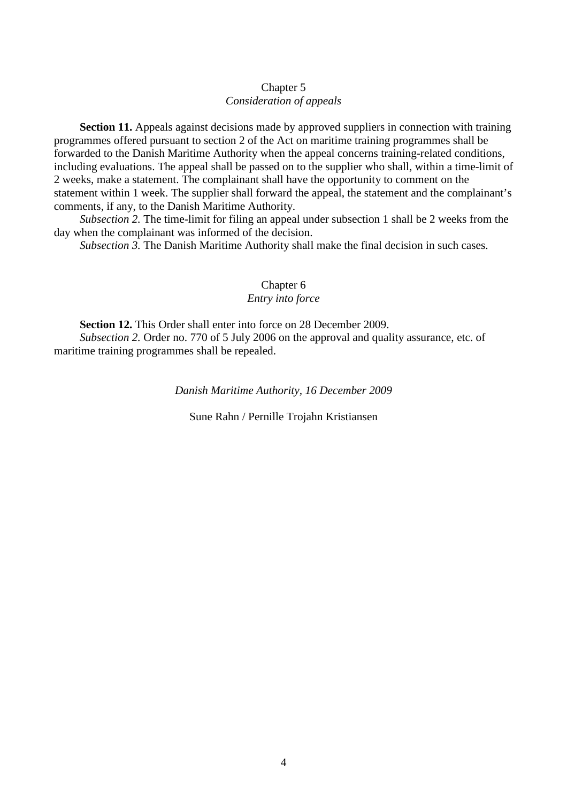#### Chapter 5 *Consideration of appeals*

**Section 11.** Appeals against decisions made by approved suppliers in connection with training programmes offered pursuant to section 2 of the Act on maritime training programmes shall be forwarded to the Danish Maritime Authority when the appeal concerns training-related conditions, including evaluations. The appeal shall be passed on to the supplier who shall, within a time-limit of 2 weeks, make a statement. The complainant shall have the opportunity to comment on the statement within 1 week. The supplier shall forward the appeal, the statement and the complainant's comments, if any, to the Danish Maritime Authority.

*Subsection 2.* The time-limit for filing an appeal under subsection 1 shall be 2 weeks from the day when the complainant was informed of the decision.

*Subsection 3.* The Danish Maritime Authority shall make the final decision in such cases.

### Chapter 6 *Entry into force*

**Section 12.** This Order shall enter into force on 28 December 2009.

*Subsection 2.* Order no. 770 of 5 July 2006 on the approval and quality assurance, etc. of maritime training programmes shall be repealed.

*Danish Maritime Authority, 16 December 2009*

Sune Rahn / Pernille Trojahn Kristiansen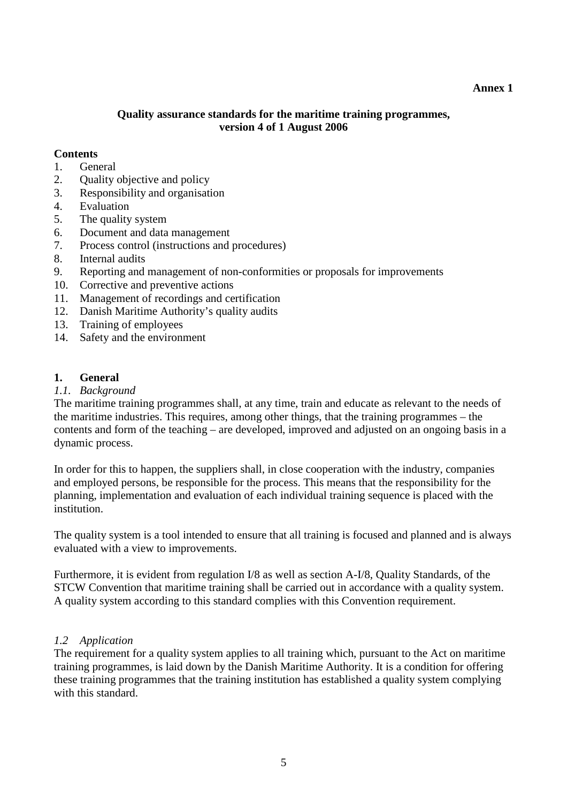#### **Annex 1**

### **Quality assurance standards for the maritime training programmes, version 4 of 1 August 2006**

#### **Contents**

- 1. General
- 2. Quality objective and policy
- 3. Responsibility and organisation
- 4. Evaluation
- 5. The quality system
- 6. Document and data management
- 7. Process control (instructions and procedures)
- 8. Internal audits
- 9. Reporting and management of non-conformities or proposals for improvements
- 10. Corrective and preventive actions
- 11. Management of recordings and certification
- 12. Danish Maritime Authority's quality audits
- 13. Training of employees
- 14. Safety and the environment

#### **1. General**

#### *1.1. Background*

The maritime training programmes shall, at any time, train and educate as relevant to the needs of the maritime industries. This requires, among other things, that the training programmes – the contents and form of the teaching – are developed, improved and adjusted on an ongoing basis in a dynamic process.

In order for this to happen, the suppliers shall, in close cooperation with the industry, companies and employed persons, be responsible for the process. This means that the responsibility for the planning, implementation and evaluation of each individual training sequence is placed with the institution.

The quality system is a tool intended to ensure that all training is focused and planned and is always evaluated with a view to improvements.

Furthermore, it is evident from regulation I/8 as well as section A-I/8, Quality Standards, of the STCW Convention that maritime training shall be carried out in accordance with a quality system. A quality system according to this standard complies with this Convention requirement.

#### *1.2 Application*

The requirement for a quality system applies to all training which, pursuant to the Act on maritime training programmes, is laid down by the Danish Maritime Authority. It is a condition for offering these training programmes that the training institution has established a quality system complying with this standard.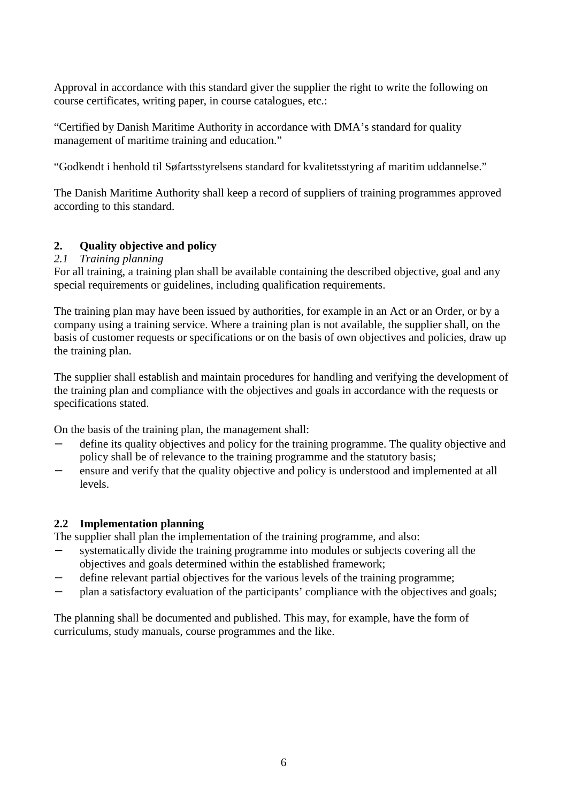Approval in accordance with this standard giver the supplier the right to write the following on course certificates, writing paper, in course catalogues, etc.:

"Certified by Danish Maritime Authority in accordance with DMA's standard for quality management of maritime training and education."

"Godkendt i henhold til Søfartsstyrelsens standard for kvalitetsstyring af maritim uddannelse."

The Danish Maritime Authority shall keep a record of suppliers of training programmes approved according to this standard.

# **2. Quality objective and policy**

# *2.1 Training planning*

For all training, a training plan shall be available containing the described objective, goal and any special requirements or guidelines, including qualification requirements.

The training plan may have been issued by authorities, for example in an Act or an Order, or by a company using a training service. Where a training plan is not available, the supplier shall, on the basis of customer requests or specifications or on the basis of own objectives and policies, draw up the training plan.

The supplier shall establish and maintain procedures for handling and verifying the development of the training plan and compliance with the objectives and goals in accordance with the requests or specifications stated.

On the basis of the training plan, the management shall:

- define its quality objectives and policy for the training programme. The quality objective and policy shall be of relevance to the training programme and the statutory basis;
- ensure and verify that the quality objective and policy is understood and implemented at all levels.

# **2.2 Implementation planning**

The supplier shall plan the implementation of the training programme, and also:

- systematically divide the training programme into modules or subjects covering all the objectives and goals determined within the established framework;
- define relevant partial objectives for the various levels of the training programme;
- − plan a satisfactory evaluation of the participants' compliance with the objectives and goals;

The planning shall be documented and published. This may, for example, have the form of curriculums, study manuals, course programmes and the like.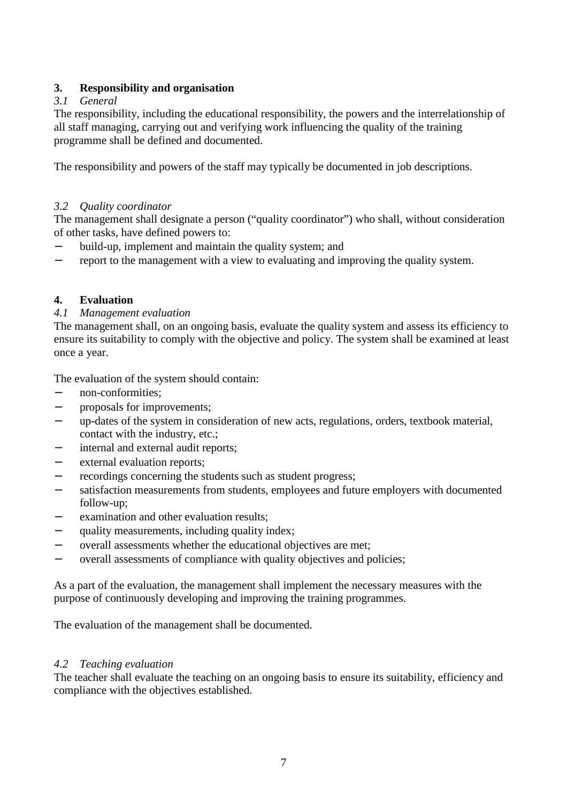# **3. Responsibility and organisation**

# *3.1 General*

The responsibility, including the educational responsibility, the powers and the interrelationship of all staff managing, carrying out and verifying work influencing the quality of the training programme shall be defined and documented.

The responsibility and powers of the staff may typically be documented in job descriptions.

# *3.2 Quality coordinator*

The management shall designate a person ("quality coordinator") who shall, without consideration of other tasks, have defined powers to:

- build-up, implement and maintain the quality system; and
- − report to the management with a view to evaluating and improving the quality system.

# **4. Evaluation**

# *4.1 Management evaluation*

The management shall, on an ongoing basis, evaluate the quality system and assess its efficiency to ensure its suitability to comply with the objective and policy. The system shall be examined at least once a year.

The evaluation of the system should contain:

- − non-conformities;
- − proposals for improvements;
- − up-dates of the system in consideration of new acts, regulations, orders, textbook material, contact with the industry, etc.;
- internal and external audit reports;
- − external evaluation reports;
- recordings concerning the students such as student progress;
- satisfaction measurements from students, employees and future employers with documented follow-up;
- − examination and other evaluation results;
- − quality measurements, including quality index;
- − overall assessments whether the educational objectives are met;
- − overall assessments of compliance with quality objectives and policies;

As a part of the evaluation, the management shall implement the necessary measures with the purpose of continuously developing and improving the training programmes.

The evaluation of the management shall be documented.

# *4.2 Teaching evaluation*

The teacher shall evaluate the teaching on an ongoing basis to ensure its suitability, efficiency and compliance with the objectives established.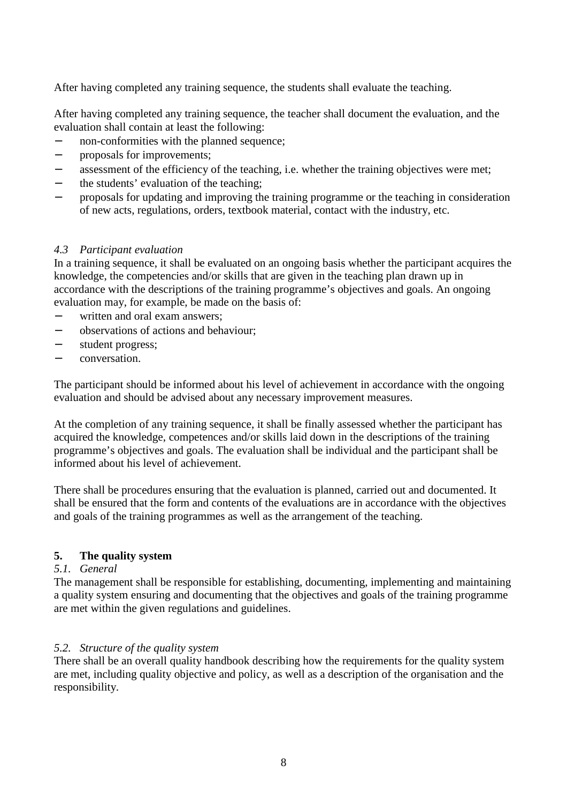After having completed any training sequence, the students shall evaluate the teaching.

After having completed any training sequence, the teacher shall document the evaluation, and the evaluation shall contain at least the following:

- − non-conformities with the planned sequence;
- − proposals for improvements;
- assessment of the efficiency of the teaching, i.e. whether the training objectives were met;
- the students' evaluation of the teaching;
- proposals for updating and improving the training programme or the teaching in consideration of new acts, regulations, orders, textbook material, contact with the industry, etc.

#### *4.3 Participant evaluation*

In a training sequence, it shall be evaluated on an ongoing basis whether the participant acquires the knowledge, the competencies and/or skills that are given in the teaching plan drawn up in accordance with the descriptions of the training programme's objectives and goals. An ongoing evaluation may, for example, be made on the basis of:

- − written and oral exam answers;
- − observations of actions and behaviour;
- − student progress;
- − conversation.

The participant should be informed about his level of achievement in accordance with the ongoing evaluation and should be advised about any necessary improvement measures.

At the completion of any training sequence, it shall be finally assessed whether the participant has acquired the knowledge, competences and/or skills laid down in the descriptions of the training programme's objectives and goals. The evaluation shall be individual and the participant shall be informed about his level of achievement.

There shall be procedures ensuring that the evaluation is planned, carried out and documented. It shall be ensured that the form and contents of the evaluations are in accordance with the objectives and goals of the training programmes as well as the arrangement of the teaching.

#### **5. The quality system**

#### *5.1. General*

The management shall be responsible for establishing, documenting, implementing and maintaining a quality system ensuring and documenting that the objectives and goals of the training programme are met within the given regulations and guidelines.

#### *5.2. Structure of the quality system*

There shall be an overall quality handbook describing how the requirements for the quality system are met, including quality objective and policy, as well as a description of the organisation and the responsibility.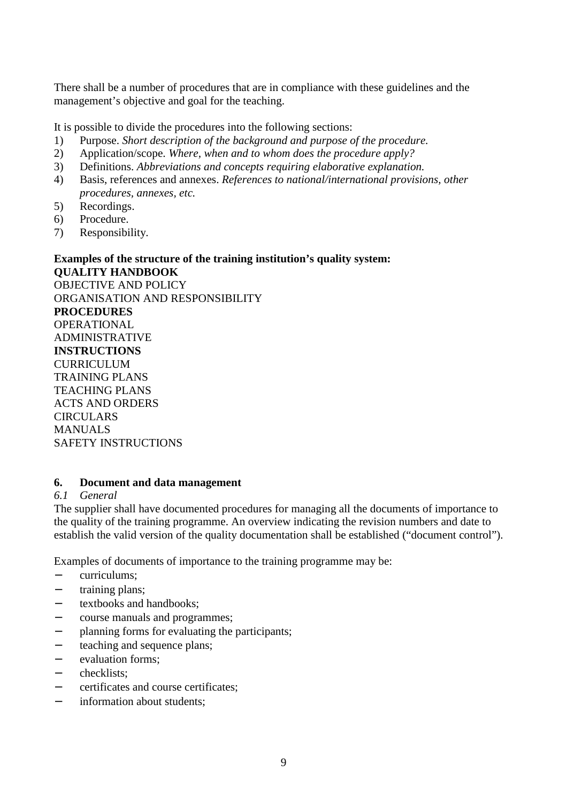There shall be a number of procedures that are in compliance with these guidelines and the management's objective and goal for the teaching.

It is possible to divide the procedures into the following sections:

- 1) Purpose. *Short description of the background and purpose of the procedure.*
- 2) Application/scope. *Where, when and to whom does the procedure apply?*
- 3) Definitions. *Abbreviations and concepts requiring elaborative explanation.*
- 4) Basis, references and annexes. *References to national/international provisions, other procedures, annexes, etc.*
- 5) Recordings.
- 6) Procedure.
- 7) Responsibility.

#### **Examples of the structure of the training institution's quality system: QUALITY HANDBOOK**  OBJECTIVE AND POLICY ORGANISATION AND RESPONSIBILITY

**PROCEDURES** OPERATIONAL ADMINISTRATIVE **INSTRUCTIONS CURRICULUM** TRAINING PLANS TEACHING PLANS ACTS AND ORDERS **CIRCULARS MANUALS** SAFETY INSTRUCTIONS

#### **6. Document and data management**

#### *6.1 General*

The supplier shall have documented procedures for managing all the documents of importance to the quality of the training programme. An overview indicating the revision numbers and date to establish the valid version of the quality documentation shall be established ("document control").

Examples of documents of importance to the training programme may be:

- − curriculums;
- training plans;
- − textbooks and handbooks;
- − course manuals and programmes;
- − planning forms for evaluating the participants;
- − teaching and sequence plans;
- − evaluation forms;
- − checklists;
- − certificates and course certificates;
- information about students: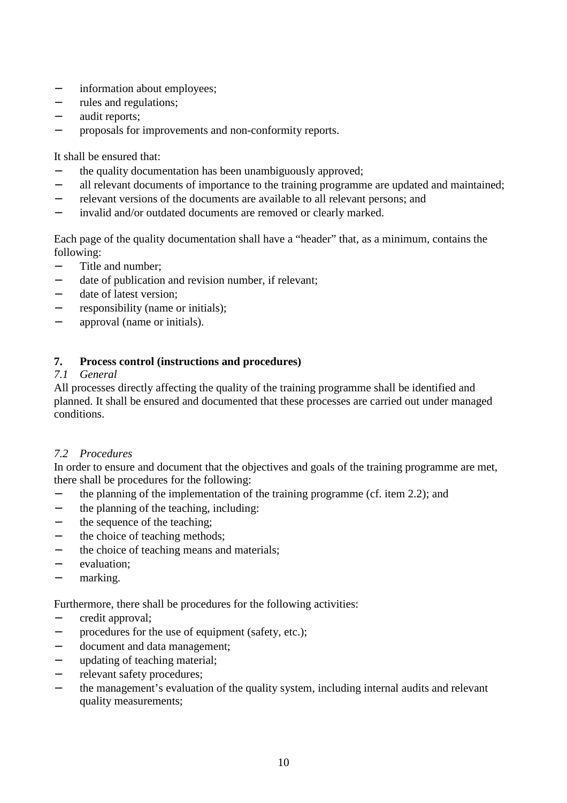- − information about employees;
- − rules and regulations;
- − audit reports;
- − proposals for improvements and non-conformity reports.

It shall be ensured that:

- the quality documentation has been unambiguously approved;
- − all relevant documents of importance to the training programme are updated and maintained;
- − relevant versions of the documents are available to all relevant persons; and
- − invalid and/or outdated documents are removed or clearly marked.

Each page of the quality documentation shall have a "header" that, as a minimum, contains the following:

- − Title and number;
- − date of publication and revision number, if relevant;
- date of latest version;
- − responsibility (name or initials);
- approval (name or initials).

# **7. Process control (instructions and procedures)**

# *7.1 General*

All processes directly affecting the quality of the training programme shall be identified and planned. It shall be ensured and documented that these processes are carried out under managed conditions.

# *7.2 Procedures*

In order to ensure and document that the objectives and goals of the training programme are met, there shall be procedures for the following:

- − the planning of the implementation of the training programme (cf. item 2.2); and
- − the planning of the teaching, including:
- − the sequence of the teaching:
- the choice of teaching methods;
- − the choice of teaching means and materials;
- − evaluation;
- marking.

# Furthermore, there shall be procedures for the following activities:

- − credit approval;
- procedures for the use of equipment (safety, etc.);
- − document and data management;
- − updating of teaching material;
- − relevant safety procedures;
- the management's evaluation of the quality system, including internal audits and relevant quality measurements;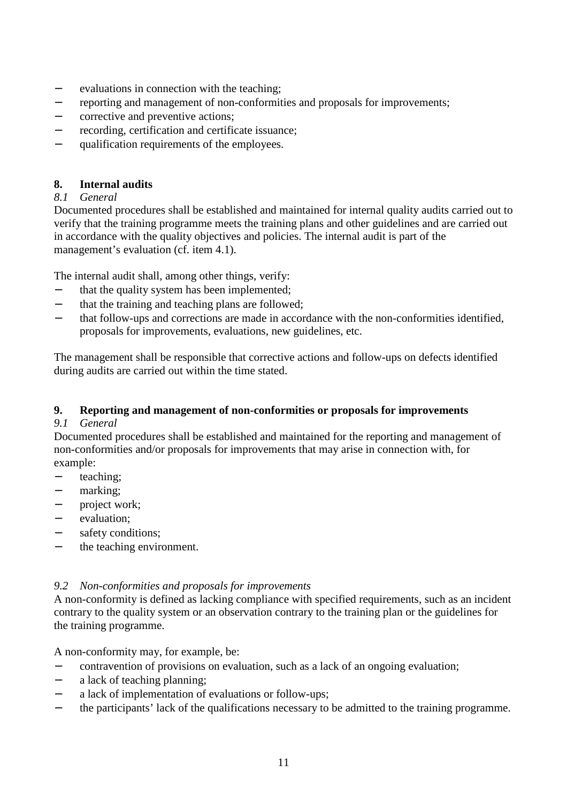- − evaluations in connection with the teaching;
- − reporting and management of non-conformities and proposals for improvements;
- corrective and preventive actions;
- − recording, certification and certificate issuance;
- qualification requirements of the employees.

# **8. Internal audits**

# *8.1 General*

Documented procedures shall be established and maintained for internal quality audits carried out to verify that the training programme meets the training plans and other guidelines and are carried out in accordance with the quality objectives and policies. The internal audit is part of the management's evaluation (cf. item 4.1).

The internal audit shall, among other things, verify:

- − that the quality system has been implemented;
- − that the training and teaching plans are followed;
- − that follow-ups and corrections are made in accordance with the non-conformities identified, proposals for improvements, evaluations, new guidelines, etc.

The management shall be responsible that corrective actions and follow-ups on defects identified during audits are carried out within the time stated.

# **9. Reporting and management of non-conformities or proposals for improvements**

# *9.1 General*

Documented procedures shall be established and maintained for the reporting and management of non-conformities and/or proposals for improvements that may arise in connection with, for example:

- − teaching;
- marking;
- − project work;
- evaluation:
- − safety conditions;
- the teaching environment.

# *9.2 Non-conformities and proposals for improvements*

A non-conformity is defined as lacking compliance with specified requirements, such as an incident contrary to the quality system or an observation contrary to the training plan or the guidelines for the training programme.

A non-conformity may, for example, be:

- − contravention of provisions on evaluation, such as a lack of an ongoing evaluation;
- − a lack of teaching planning;
- − a lack of implementation of evaluations or follow-ups;
- the participants' lack of the qualifications necessary to be admitted to the training programme.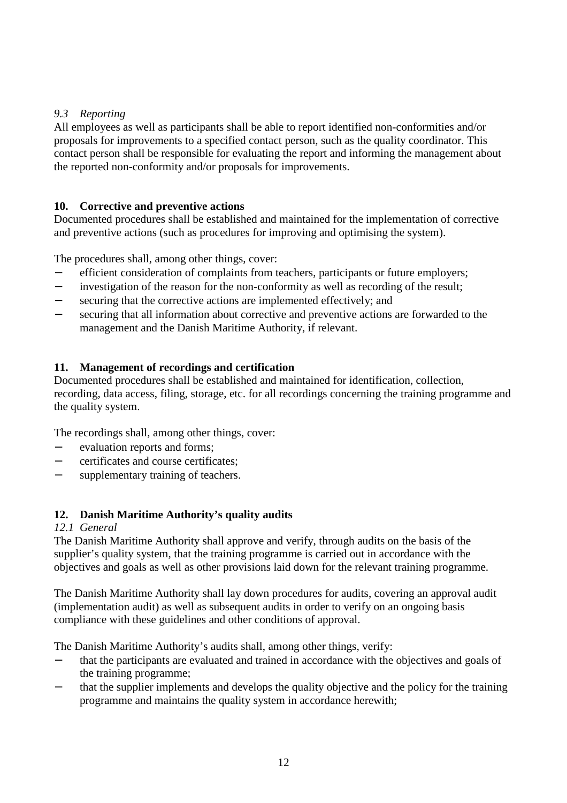# *9.3 Reporting*

All employees as well as participants shall be able to report identified non-conformities and/or proposals for improvements to a specified contact person, such as the quality coordinator. This contact person shall be responsible for evaluating the report and informing the management about the reported non-conformity and/or proposals for improvements.

# **10. Corrective and preventive actions**

Documented procedures shall be established and maintained for the implementation of corrective and preventive actions (such as procedures for improving and optimising the system).

The procedures shall, among other things, cover:

- − efficient consideration of complaints from teachers, participants or future employers;
- − investigation of the reason for the non-conformity as well as recording of the result;
- − securing that the corrective actions are implemented effectively; and
- securing that all information about corrective and preventive actions are forwarded to the management and the Danish Maritime Authority, if relevant.

# **11. Management of recordings and certification**

Documented procedures shall be established and maintained for identification, collection, recording, data access, filing, storage, etc. for all recordings concerning the training programme and the quality system.

The recordings shall, among other things, cover:

- − evaluation reports and forms;
- − certificates and course certificates;
- − supplementary training of teachers.

# **12. Danish Maritime Authority's quality audits**

# *12.1 General*

The Danish Maritime Authority shall approve and verify, through audits on the basis of the supplier's quality system, that the training programme is carried out in accordance with the objectives and goals as well as other provisions laid down for the relevant training programme.

The Danish Maritime Authority shall lay down procedures for audits, covering an approval audit (implementation audit) as well as subsequent audits in order to verify on an ongoing basis compliance with these guidelines and other conditions of approval.

The Danish Maritime Authority's audits shall, among other things, verify:

- − that the participants are evaluated and trained in accordance with the objectives and goals of the training programme;
- that the supplier implements and develops the quality objective and the policy for the training programme and maintains the quality system in accordance herewith;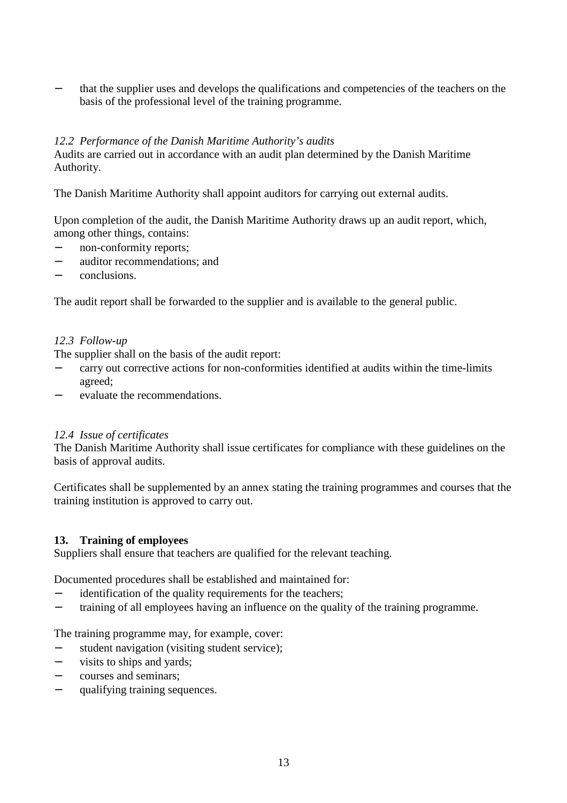that the supplier uses and develops the qualifications and competencies of the teachers on the basis of the professional level of the training programme.

# *12.2 Performance of the Danish Maritime Authority's audits*

Audits are carried out in accordance with an audit plan determined by the Danish Maritime Authority.

The Danish Maritime Authority shall appoint auditors for carrying out external audits.

Upon completion of the audit, the Danish Maritime Authority draws up an audit report, which, among other things, contains:

- non-conformity reports;
- − auditor recommendations; and
- − conclusions.

The audit report shall be forwarded to the supplier and is available to the general public.

#### *12.3 Follow-up*

The supplier shall on the basis of the audit report:

- − carry out corrective actions for non-conformities identified at audits within the time-limits agreed;
- evaluate the recommendations.

#### *12.4 Issue of certificates*

The Danish Maritime Authority shall issue certificates for compliance with these guidelines on the basis of approval audits.

Certificates shall be supplemented by an annex stating the training programmes and courses that the training institution is approved to carry out.

# **13. Training of employees**

Suppliers shall ensure that teachers are qualified for the relevant teaching.

Documented procedures shall be established and maintained for:

- − identification of the quality requirements for the teachers;
- − training of all employees having an influence on the quality of the training programme.

The training programme may, for example, cover:

- student navigation (visiting student service);
- − visits to ships and yards;
- − courses and seminars;
- − qualifying training sequences.